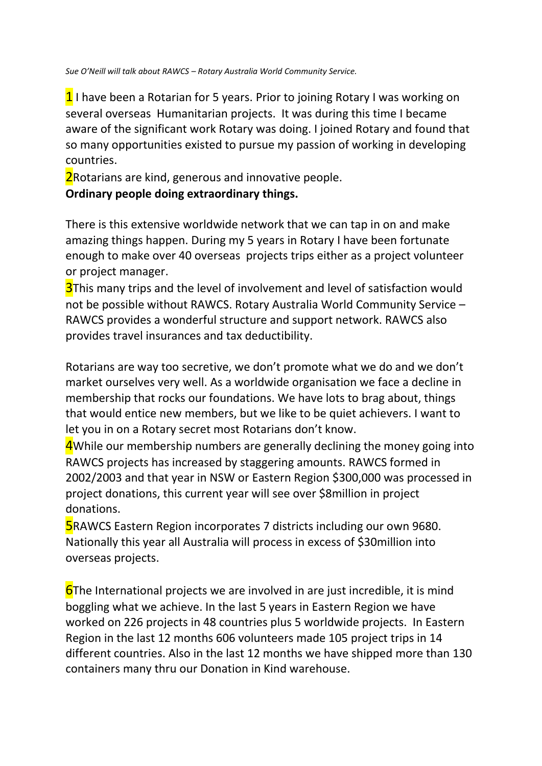*Sue O'Neill will talk about RAWCS – Rotary Australia World Community Service.* 

 $1$  I have been a Rotarian for 5 years. Prior to joining Rotary I was working on several overseas Humanitarian projects. It was during this time I became aware of the significant work Rotary was doing. I joined Rotary and found that so many opportunities existed to pursue my passion of working in developing countries.

**2**Rotarians are kind, generous and innovative people.

## **Ordinary people doing extraordinary things.**

There is this extensive worldwide network that we can tap in on and make amazing things happen. During my 5 years in Rotary I have been fortunate enough to make over 40 overseas projects trips either as a project volunteer or project manager.

**3**This many trips and the level of involvement and level of satisfaction would not be possible without RAWCS. Rotary Australia World Community Service – RAWCS provides a wonderful structure and support network. RAWCS also provides travel insurances and tax deductibility.

Rotarians are way too secretive, we don't promote what we do and we don't market ourselves very well. As a worldwide organisation we face a decline in membership that rocks our foundations. We have lots to brag about, things that would entice new members, but we like to be quiet achievers. I want to let you in on a Rotary secret most Rotarians don't know.

4While our membership numbers are generally declining the money going into RAWCS projects has increased by staggering amounts. RAWCS formed in 2002/2003 and that year in NSW or Eastern Region \$300,000 was processed in project donations, this current year will see over \$8million in project donations.

**5**RAWCS Eastern Region incorporates 7 districts including our own 9680. Nationally this year all Australia will process in excess of \$30million into overseas projects.

**6**The International projects we are involved in are just incredible, it is mind boggling what we achieve. In the last 5 years in Eastern Region we have worked on 226 projects in 48 countries plus 5 worldwide projects. In Eastern Region in the last 12 months 606 volunteers made 105 project trips in 14 different countries. Also in the last 12 months we have shipped more than 130 containers many thru our Donation in Kind warehouse.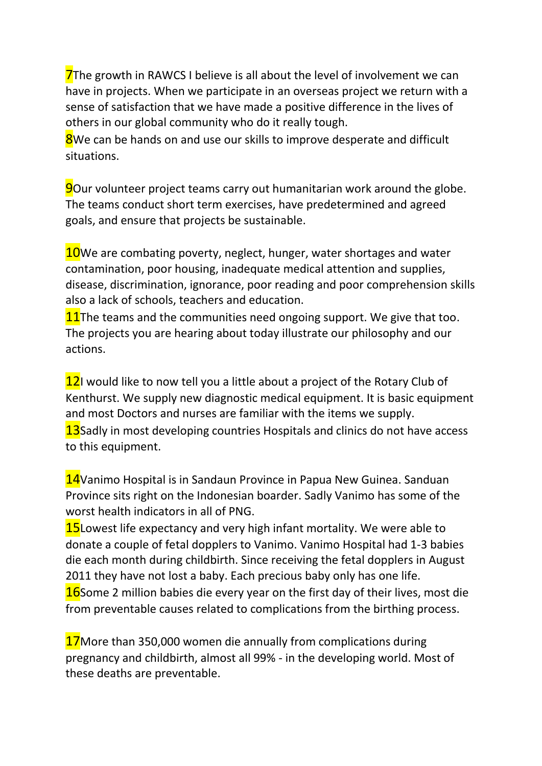**7**The growth in RAWCS I believe is all about the level of involvement we can have in projects. When we participate in an overseas project we return with a sense of satisfaction that we have made a positive difference in the lives of others in our global community who do it really tough.

**8**We can be hands on and use our skills to improve desperate and difficult situations.

**9**Our volunteer project teams carry out humanitarian work around the globe. The teams conduct short term exercises, have predetermined and agreed goals, and ensure that projects be sustainable.

**10**We are combating poverty, neglect, hunger, water shortages and water contamination, poor housing, inadequate medical attention and supplies, disease, discrimination, ignorance, poor reading and poor comprehension skills also a lack of schools, teachers and education.

11The teams and the communities need ongoing support. We give that too. The projects you are hearing about today illustrate our philosophy and our actions.

12I would like to now tell you a little about a project of the Rotary Club of Kenthurst. We supply new diagnostic medical equipment. It is basic equipment and most Doctors and nurses are familiar with the items we supply. **13**Sadly in most developing countries Hospitals and clinics do not have access to this equipment.

14Vanimo Hospital is in Sandaun Province in Papua New Guinea. Sanduan Province sits right on the Indonesian boarder. Sadly Vanimo has some of the worst health indicators in all of PNG.

**15**Lowest life expectancy and very high infant mortality. We were able to donate a couple of fetal dopplers to Vanimo. Vanimo Hospital had 1-3 babies die each month during childbirth. Since receiving the fetal dopplers in August 2011 they have not lost a baby. Each precious baby only has one life. **16**Some 2 million babies die every year on the first day of their lives, most die from preventable causes related to complications from the birthing process.

17 More than 350,000 women die annually from complications during pregnancy and childbirth, almost all 99% - in the developing world. Most of these deaths are preventable.